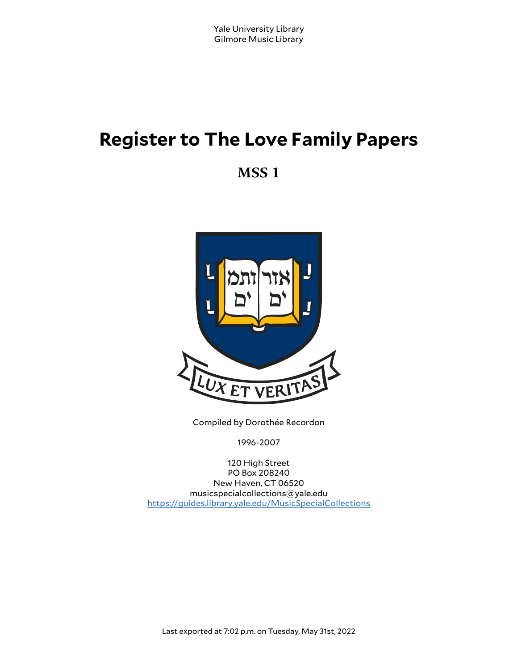# **Register to The Love Family Papers**

**MSS 1**



Compiled by Dorothée Recordon

1996-2007

120 High Street PO Box 208240 New Haven, CT 06520 musicspecialcollections@yale.edu <https://guides.library.yale.edu/MusicSpecialCollections>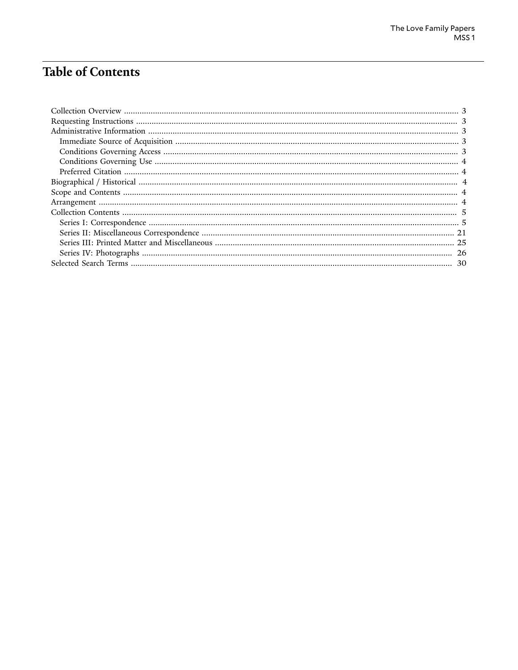# **Table of Contents**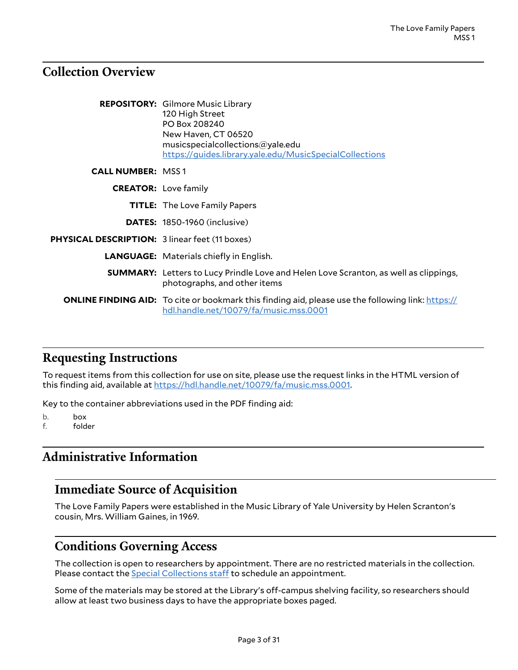## <span id="page-2-0"></span>**Collection Overview**

|                                                       | <b>REPOSITORY:</b> Gilmore Music Library<br>120 High Street<br>PO Box 208240<br>New Haven, CT 06520<br>musicspecialcollections@yale.edu<br>https://guides.library.yale.edu/MusicSpecialCollections |
|-------------------------------------------------------|----------------------------------------------------------------------------------------------------------------------------------------------------------------------------------------------------|
| <b>CALL NUMBER: MSS1</b>                              |                                                                                                                                                                                                    |
|                                                       | <b>CREATOR: Love family</b>                                                                                                                                                                        |
|                                                       | <b>TITLE:</b> The Love Family Papers                                                                                                                                                               |
|                                                       | <b>DATES:</b> 1850-1960 (inclusive)                                                                                                                                                                |
| <b>PHYSICAL DESCRIPTION: 3 linear feet (11 boxes)</b> |                                                                                                                                                                                                    |
|                                                       | <b>LANGUAGE:</b> Materials chiefly in English.                                                                                                                                                     |
|                                                       | <b>SUMMARY:</b> Letters to Lucy Prindle Love and Helen Love Scranton, as well as clippings,<br>photographs, and other items                                                                        |
|                                                       | <b>ONLINE FINDING AID:</b> To cite or bookmark this finding aid, please use the following link: https://<br>hdl.handle.net/10079/fa/music.mss.0001                                                 |

## <span id="page-2-1"></span>**Requesting Instructions**

To request items from this collection for use on site, please use the request links in the HTML version of this finding aid, available at <https://hdl.handle.net/10079/fa/music.mss.0001>.

Key to the container abbreviations used in the PDF finding aid:

b. box

f. folder

## <span id="page-2-2"></span>**Administrative Information**

#### <span id="page-2-3"></span>**Immediate Source of Acquisition**

The Love Family Papers were established in the Music Library of Yale University by Helen Scranton's cousin, Mrs. William Gaines, in 1969.

#### <span id="page-2-4"></span>**Conditions Governing Access**

The collection is open to researchers by appointment. There are no restricted materials in the collection. Please contact the **Special [Collections](http://www.library.yale.edu/musiclib) staff** to schedule an appointment.

Some of the materials may be stored at the Library's off-campus shelving facility, so researchers should allow at least two business days to have the appropriate boxes paged.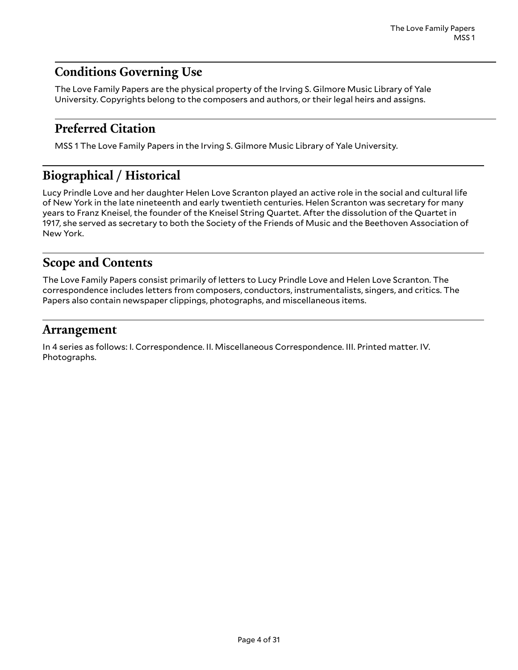## <span id="page-3-0"></span>**Conditions Governing Use**

The Love Family Papers are the physical property of the Irving S. Gilmore Music Library of Yale University. Copyrights belong to the composers and authors, or their legal heirs and assigns.

### <span id="page-3-1"></span>**Preferred Citation**

MSS 1 The Love Family Papers in the Irving S. Gilmore Music Library of Yale University.

## <span id="page-3-2"></span>**Biographical / Historical**

Lucy Prindle Love and her daughter Helen Love Scranton played an active role in the social and cultural life of New York in the late nineteenth and early twentieth centuries. Helen Scranton was secretary for many years to Franz Kneisel, the founder of the Kneisel String Quartet. After the dissolution of the Quartet in 1917, she served as secretary to both the Society of the Friends of Music and the Beethoven Association of New York.

#### <span id="page-3-3"></span>**Scope and Contents**

The Love Family Papers consist primarily of letters to Lucy Prindle Love and Helen Love Scranton. The correspondence includes letters from composers, conductors, instrumentalists, singers, and critics. The Papers also contain newspaper clippings, photographs, and miscellaneous items.

#### <span id="page-3-4"></span>**Arrangement**

In 4 series as follows: I. Correspondence. II. Miscellaneous Correspondence. III. Printed matter. IV. Photographs.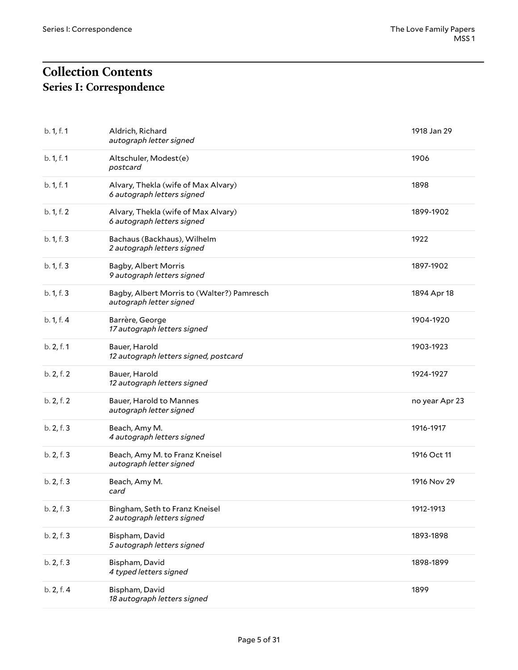## <span id="page-4-1"></span><span id="page-4-0"></span>**Collection Contents Series I: Correspondence**

| b. 1, f. 1 | Aldrich, Richard<br>autograph letter signed                           | 1918 Jan 29    |
|------------|-----------------------------------------------------------------------|----------------|
| b. 1, f. 1 | Altschuler, Modest(e)<br>postcard                                     | 1906           |
| b. 1, f. 1 | Alvary, Thekla (wife of Max Alvary)<br>6 autograph letters signed     | 1898           |
| b. 1, f. 2 | Alvary, Thekla (wife of Max Alvary)<br>6 autograph letters signed     | 1899-1902      |
| b. 1, f. 3 | Bachaus (Backhaus), Wilhelm<br>2 autograph letters signed             | 1922           |
| b. 1, f. 3 | Bagby, Albert Morris<br>9 autograph letters signed                    | 1897-1902      |
| b. 1, f. 3 | Bagby, Albert Morris to (Walter?) Pamresch<br>autograph letter signed | 1894 Apr 18    |
| b. 1, f. 4 | Barrère, George<br>17 autograph letters signed                        | 1904-1920      |
| b. 2, f. 1 | Bauer, Harold<br>12 autograph letters signed, postcard                | 1903-1923      |
| b. 2, f. 2 | Bauer, Harold<br>12 autograph letters signed                          | 1924-1927      |
| b. 2, f. 2 | Bauer, Harold to Mannes<br>autograph letter signed                    | no year Apr 23 |
| b. 2, f. 3 | Beach, Amy M.<br>4 autograph letters signed                           | 1916-1917      |
| b. 2, f. 3 | Beach, Amy M. to Franz Kneisel<br>autograph letter signed             | 1916 Oct 11    |
| b. 2, f. 3 | Beach, Amy M.<br>card                                                 | 1916 Nov 29    |
| b. 2, f. 3 | Bingham, Seth to Franz Kneisel<br>2 autograph letters signed          | 1912-1913      |
| b. 2, f. 3 | Bispham, David<br>5 autograph letters signed                          | 1893-1898      |
| b. 2, f. 3 | Bispham, David<br>4 typed letters signed                              | 1898-1899      |
| b. 2, f. 4 | Bispham, David<br>18 autograph letters signed                         | 1899           |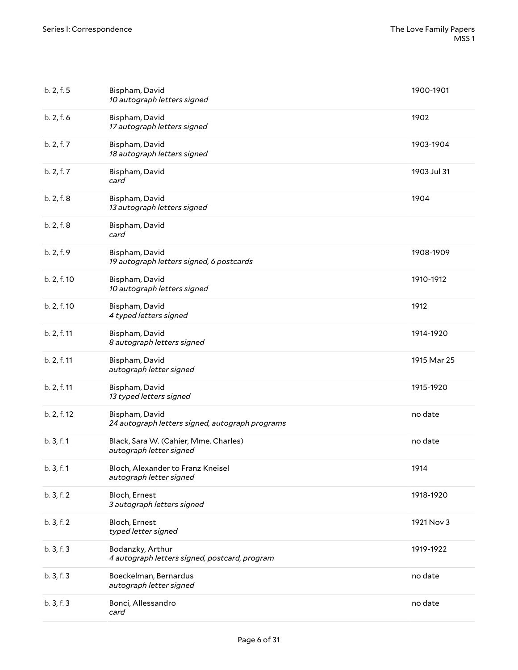| b. 2, f. 5  | Bispham, David<br>10 autograph letters signed                     | 1900-1901   |
|-------------|-------------------------------------------------------------------|-------------|
| b. 2, f. 6  | Bispham, David<br>17 autograph letters signed                     | 1902        |
| b. 2, f. 7  | Bispham, David<br>18 autograph letters signed                     | 1903-1904   |
| b. 2, f. 7  | Bispham, David<br>card                                            | 1903 Jul 31 |
| b. 2, f. 8  | Bispham, David<br>13 autograph letters signed                     | 1904        |
| b. 2, f. 8  | Bispham, David<br>card                                            |             |
| b. 2, f. 9  | Bispham, David<br>19 autograph letters signed, 6 postcards        | 1908-1909   |
| b. 2, f. 10 | Bispham, David<br>10 autograph letters signed                     | 1910-1912   |
| b. 2, f. 10 | Bispham, David<br>4 typed letters signed                          | 1912        |
| b. 2, f. 11 | Bispham, David<br>8 autograph letters signed                      | 1914-1920   |
| b. 2, f. 11 | Bispham, David<br>autograph letter signed                         | 1915 Mar 25 |
| b. 2, f. 11 | Bispham, David<br>13 typed letters signed                         | 1915-1920   |
| b. 2, f. 12 | Bispham, David<br>24 autograph letters signed, autograph programs | no date     |
| b. 3, f. 1  | Black, Sara W. (Cahier, Mme. Charles)<br>autograph letter signed  | no date     |
| b. 3, f. 1  | Bloch, Alexander to Franz Kneisel<br>autograph letter signed      | 1914        |
| b.3, f.2    | Bloch, Ernest<br>3 autograph letters signed                       | 1918-1920   |
| b.3, f.2    | Bloch, Ernest<br>typed letter signed                              | 1921 Nov 3  |
| b.3, f.3    | Bodanzky, Arthur<br>4 autograph letters signed, postcard, program | 1919-1922   |
| b.3, f.3    | Boeckelman, Bernardus<br>autograph letter signed                  | no date     |
| b.3, f.3    | Bonci, Allessandro<br>card                                        | no date     |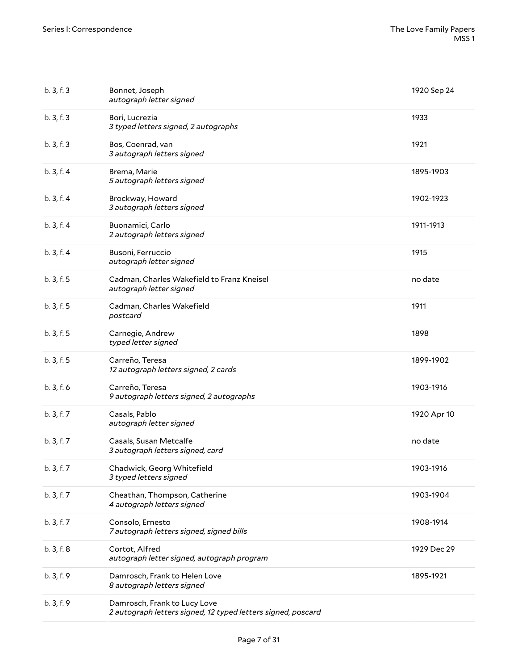| b.3, f.3   | Bonnet, Joseph<br>autograph letter signed                             | 1920 Sep 24 |
|------------|-----------------------------------------------------------------------|-------------|
| b.3, f.3   | Bori, Lucrezia<br>3 typed letters signed, 2 autographs                | 1933        |
| b.3, f.3   | Bos, Coenrad, van<br>3 autograph letters signed                       | 1921        |
| b.3, f.4   | Brema, Marie<br>5 autograph letters signed                            | 1895-1903   |
| b.3, f.4   | Brockway, Howard<br>3 autograph letters signed                        | 1902-1923   |
| b.3, f.4   | Buonamici, Carlo<br>2 autograph letters signed                        | 1911-1913   |
| b.3, f.4   | Busoni, Ferruccio<br>autograph letter signed                          | 1915        |
| b. 3, f. 5 | Cadman, Charles Wakefield to Franz Kneisel<br>autograph letter signed | no date     |
| b.3, f.5   | Cadman, Charles Wakefield<br>postcard                                 | 1911        |
| b.3, f.5   | Carnegie, Andrew<br>typed letter signed                               | 1898        |
|            |                                                                       |             |
| b. 3, f. 5 | Carreño, Teresa<br>12 autograph letters signed, 2 cards               | 1899-1902   |
| b.3, f.6   | Carreño, Teresa<br>9 autograph letters signed, 2 autographs           | 1903-1916   |
| b.3, f.7   | Casals, Pablo<br>autograph letter signed                              | 1920 Apr 10 |
| b. 3, f. 7 | Casals, Susan Metcalfe<br>3 autograph letters signed, card            | no date     |
| b. 3, f. 7 | Chadwick, Georg Whitefield<br>3 typed letters signed                  | 1903-1916   |
| b.3, f.7   | Cheathan, Thompson, Catherine<br>4 autograph letters signed           | 1903-1904   |
| b. 3, f. 7 | Consolo, Ernesto<br>7 autograph letters signed, signed bills          | 1908-1914   |
| b.3, f.8   | Cortot, Alfred<br>autograph letter signed, autograph program          | 1929 Dec 29 |
| b. 3, f. 9 | Damrosch, Frank to Helen Love<br>8 autograph letters signed           | 1895-1921   |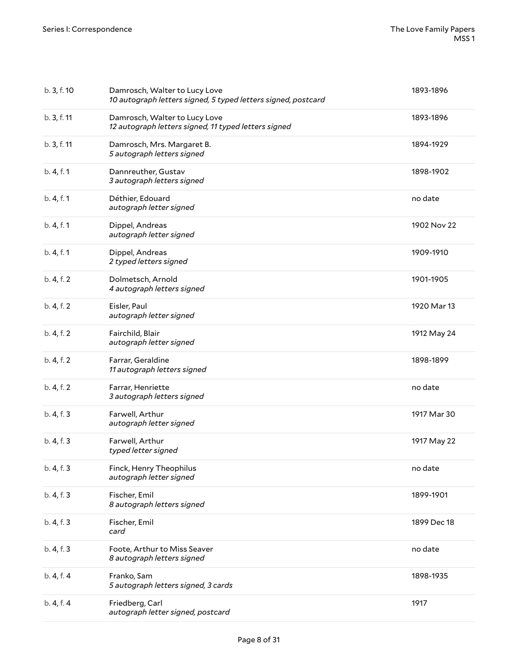| b. 3, f. 10 | Damrosch, Walter to Lucy Love<br>10 autograph letters signed, 5 typed letters signed, postcard | 1893-1896   |
|-------------|------------------------------------------------------------------------------------------------|-------------|
| b. 3, f. 11 | Damrosch, Walter to Lucy Love<br>12 autograph letters signed, 11 typed letters signed          | 1893-1896   |
| b. 3, f. 11 | Damrosch, Mrs. Margaret B.<br>5 autograph letters signed                                       | 1894-1929   |
| b. 4, f. 1  | Dannreuther, Gustav<br>3 autograph letters signed                                              | 1898-1902   |
| b. 4, f. 1  | Déthier, Edouard<br>autograph letter signed                                                    | no date     |
| b. 4, f. 1  | Dippel, Andreas<br>autograph letter signed                                                     | 1902 Nov 22 |
| b. 4, f. 1  | Dippel, Andreas<br>2 typed letters signed                                                      | 1909-1910   |
| b. 4, f. 2  | Dolmetsch, Arnold<br>4 autograph letters signed                                                | 1901-1905   |
| b. 4, f. 2  | Eisler, Paul<br>autograph letter signed                                                        | 1920 Mar 13 |
| b. 4, f. 2  | Fairchild, Blair<br>autograph letter signed                                                    | 1912 May 24 |
| b. 4, f. 2  | Farrar, Geraldine<br>11 autograph letters signed                                               | 1898-1899   |
| b. 4, f. 2  | Farrar, Henriette<br>3 autograph letters signed                                                | no date     |
| b. 4, f. 3  | Farwell, Arthur<br>autograph letter signed                                                     | 1917 Mar 30 |
| b. 4, f. 3  | Farwell, Arthur<br>typed letter signed                                                         | 1917 May 22 |
| b. 4, f. 3  | Finck, Henry Theophilus<br>autograph letter signed                                             | no date     |
| b. 4, f. 3  | Fischer, Emil<br>8 autograph letters signed                                                    | 1899-1901   |
| b. 4, f. 3  | Fischer, Emil<br>card                                                                          | 1899 Dec 18 |
| b. 4, f. 3  | Foote, Arthur to Miss Seaver<br>8 autograph letters signed                                     | no date     |
| b. 4, f. 4  | Franko, Sam<br>5 autograph letters signed, 3 cards                                             | 1898-1935   |
| b. 4, f. 4  | Friedberg, Carl<br>autograph letter signed, postcard                                           | 1917        |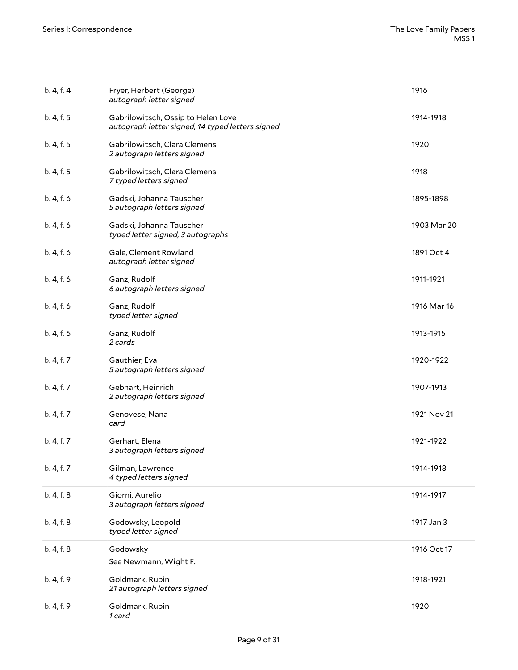| b. 4, f. 4 | Fryer, Herbert (George)<br>autograph letter signed                                     | 1916        |
|------------|----------------------------------------------------------------------------------------|-------------|
| b. 4, f. 5 | Gabrilowitsch, Ossip to Helen Love<br>autograph letter signed, 14 typed letters signed | 1914-1918   |
| b. 4, f. 5 | Gabrilowitsch, Clara Clemens<br>2 autograph letters signed                             | 1920        |
| b. 4, f. 5 | Gabrilowitsch, Clara Clemens<br>7 typed letters signed                                 | 1918        |
| b. 4, f. 6 | Gadski, Johanna Tauscher<br>5 autograph letters signed                                 | 1895-1898   |
| b. 4, f. 6 | Gadski, Johanna Tauscher<br>typed letter signed, 3 autographs                          | 1903 Mar 20 |
| b. 4, f. 6 | Gale, Clement Rowland<br>autograph letter signed                                       | 1891 Oct 4  |
| b. 4, f. 6 | Ganz, Rudolf<br>6 autograph letters signed                                             | 1911-1921   |
| b. 4, f. 6 | Ganz, Rudolf<br>typed letter signed                                                    | 1916 Mar 16 |
| b. 4, f. 6 | Ganz, Rudolf<br>2 cards                                                                | 1913-1915   |
| b. 4, f. 7 | Gauthier, Eva<br>5 autograph letters signed                                            | 1920-1922   |
| b. 4, f. 7 | Gebhart, Heinrich<br>2 autograph letters signed                                        | 1907-1913   |
| b. 4, f. 7 | Genovese, Nana<br>card                                                                 | 1921 Nov 21 |
| b. 4, f. 7 | Gerhart, Elena<br>3 autograph letters signed                                           | 1921-1922   |
| b. 4, f. 7 | Gilman, Lawrence<br>4 typed letters signed                                             | 1914-1918   |
| b. 4, f. 8 | Giorni, Aurelio<br>3 autograph letters signed                                          | 1914-1917   |
| b. 4, f. 8 | Godowsky, Leopold<br>typed letter signed                                               | 1917 Jan 3  |
| b. 4, f. 8 | Godowsky<br>See Newmann, Wight F.                                                      | 1916 Oct 17 |
| b. 4, f. 9 | Goldmark, Rubin<br>21 autograph letters signed                                         | 1918-1921   |
| b. 4, f. 9 | Goldmark, Rubin<br>1 card                                                              | 1920        |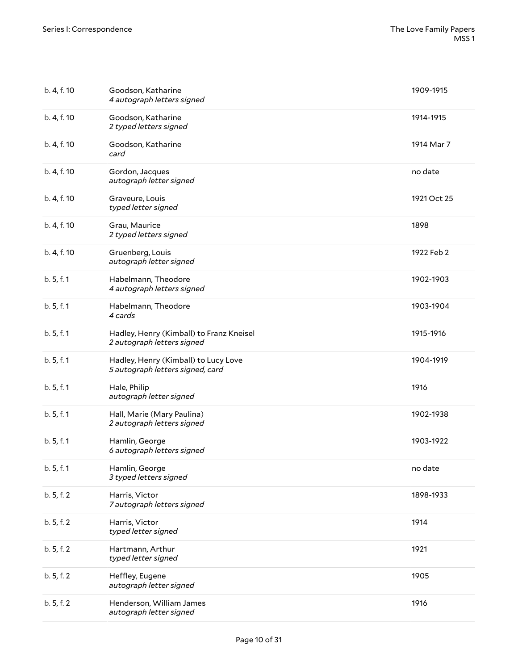| b. 4, f. 10 | Goodson, Katharine<br>4 autograph letters signed                         | 1909-1915   |
|-------------|--------------------------------------------------------------------------|-------------|
| b. 4, f. 10 | Goodson, Katharine<br>2 typed letters signed                             | 1914-1915   |
| b. 4, f. 10 | Goodson, Katharine<br>card                                               | 1914 Mar 7  |
| b. 4, f. 10 | Gordon, Jacques<br>autograph letter signed                               | no date     |
| b. 4, f. 10 | Graveure, Louis<br>typed letter signed                                   | 1921 Oct 25 |
| b. 4, f. 10 | Grau, Maurice<br>2 typed letters signed                                  | 1898        |
| b. 4, f. 10 | Gruenberg, Louis<br>autograph letter signed                              | 1922 Feb 2  |
| b.5, f.1    | Habelmann, Theodore<br>4 autograph letters signed                        | 1902-1903   |
| b. 5, f. 1  | Habelmann, Theodore<br>4 cards                                           | 1903-1904   |
| b.5, f.1    | Hadley, Henry (Kimball) to Franz Kneisel<br>2 autograph letters signed   | 1915-1916   |
| b.5, f.1    | Hadley, Henry (Kimball) to Lucy Love<br>5 autograph letters signed, card | 1904-1919   |
| b. 5, f. 1  | Hale, Philip<br>autograph letter signed                                  | 1916        |
| b.5, f.1    | Hall, Marie (Mary Paulina)<br>2 autograph letters signed                 | 1902-1938   |
| b. 5, f. 1  | Hamlin, George<br>6 autograph letters signed                             | 1903-1922   |
| b.5, f.1    | Hamlin, George<br>3 typed letters signed                                 | no date     |
| b.5, f.2    | Harris, Victor<br>7 autograph letters signed                             | 1898-1933   |
| b.5, f.2    | Harris, Victor<br>typed letter signed                                    | 1914        |
| b.5, f.2    | Hartmann, Arthur<br>typed letter signed                                  | 1921        |
| b.5, f.2    | Heffley, Eugene<br>autograph letter signed                               | 1905        |
| b.5, f.2    | Henderson, William James<br>autograph letter signed                      | 1916        |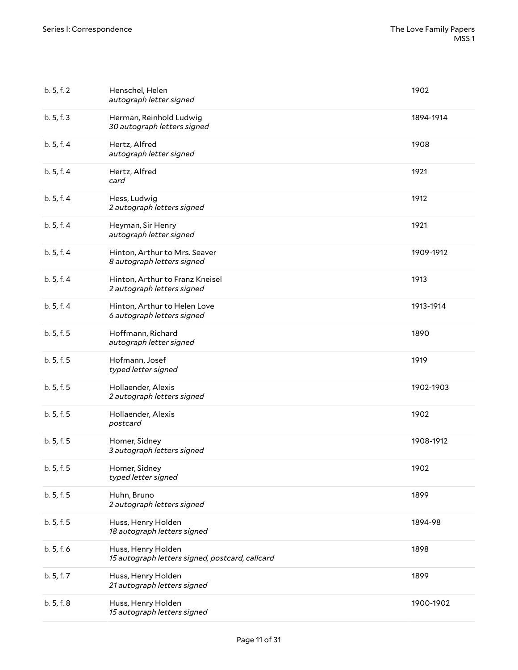| b. 5, f. 2 | Henschel, Helen<br>autograph letter signed                            | 1902      |
|------------|-----------------------------------------------------------------------|-----------|
| b. 5, f. 3 | Herman, Reinhold Ludwig<br>30 autograph letters signed                | 1894-1914 |
| b.5, f.4   | Hertz, Alfred<br>autograph letter signed                              | 1908      |
| b. 5, f. 4 | Hertz, Alfred<br>card                                                 | 1921      |
| b.5, f.4   | Hess, Ludwig<br>2 autograph letters signed                            | 1912      |
| b.5, f.4   | Heyman, Sir Henry<br>autograph letter signed                          | 1921      |
| b. 5, f. 4 | Hinton, Arthur to Mrs. Seaver<br>8 autograph letters signed           | 1909-1912 |
| b.5, f.4   | Hinton, Arthur to Franz Kneisel<br>2 autograph letters signed         | 1913      |
| b.5, f.4   | Hinton, Arthur to Helen Love<br>6 autograph letters signed            | 1913-1914 |
| b. 5, f. 5 | Hoffmann, Richard<br>autograph letter signed                          | 1890      |
| b. 5, f. 5 | Hofmann, Josef<br>typed letter signed                                 | 1919      |
| b. 5, f. 5 | Hollaender, Alexis<br>2 autograph letters signed                      | 1902-1903 |
| b. 5, f. 5 | Hollaender, Alexis<br>postcard                                        | 1902      |
| b. 5, f. 5 | Homer, Sidney<br>3 autograph letters signed                           | 1908-1912 |
| b. 5, f. 5 | Homer, Sidney<br>typed letter signed                                  | 1902      |
| b. 5, f. 5 | Huhn, Bruno<br>2 autograph letters signed                             | 1899      |
| b. 5, f. 5 | Huss, Henry Holden<br>18 autograph letters signed                     | 1894-98   |
| b.5, f.6   | Huss, Henry Holden<br>15 autograph letters signed, postcard, callcard | 1898      |
| b. 5, f. 7 | Huss, Henry Holden<br>21 autograph letters signed                     | 1899      |
| b. 5, f. 8 | Huss, Henry Holden<br>15 autograph letters signed                     | 1900-1902 |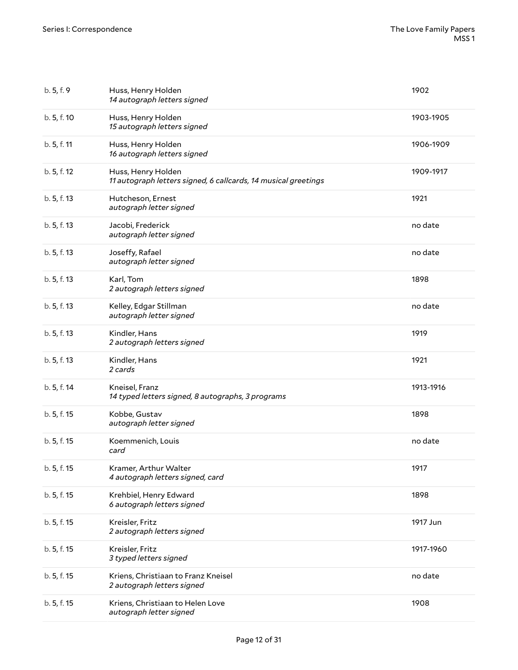| b. 5, f. 9  | Huss, Henry Holden<br>14 autograph letters signed                                    | 1902      |
|-------------|--------------------------------------------------------------------------------------|-----------|
| b. 5, f. 10 | Huss, Henry Holden<br>15 autograph letters signed                                    | 1903-1905 |
| b. 5, f. 11 | Huss, Henry Holden<br>16 autograph letters signed                                    | 1906-1909 |
| b. 5, f. 12 | Huss, Henry Holden<br>11 autograph letters signed, 6 callcards, 14 musical greetings | 1909-1917 |
| b. 5, f. 13 | Hutcheson, Ernest<br>autograph letter signed                                         | 1921      |
| b. 5, f. 13 | Jacobi, Frederick<br>autograph letter signed                                         | no date   |
| b. 5, f. 13 | Joseffy, Rafael<br>autograph letter signed                                           | no date   |
| b. 5, f. 13 | Karl, Tom<br>2 autograph letters signed                                              | 1898      |
| b. 5, f. 13 | Kelley, Edgar Stillman<br>autograph letter signed                                    | no date   |
| b. 5, f. 13 | Kindler, Hans<br>2 autograph letters signed                                          | 1919      |
| b. 5, f. 13 | Kindler, Hans<br>2 cards                                                             | 1921      |
| b. 5, f. 14 | Kneisel, Franz<br>14 typed letters signed, 8 autographs, 3 programs                  | 1913-1916 |
| b. 5, f. 15 | Kobbe, Gustav<br>autograph letter signed                                             | 1898      |
| b. 5, f. 15 | Koemmenich, Louis<br>card                                                            | no date   |
| b. 5, f. 15 | Kramer, Arthur Walter<br>4 autograph letters signed, card                            | 1917      |
| b. 5, f. 15 | Krehbiel, Henry Edward<br>6 autograph letters signed                                 | 1898      |
| b. 5, f. 15 | Kreisler, Fritz<br>2 autograph letters signed                                        | 1917 Jun  |
| b. 5, f. 15 | Kreisler, Fritz<br>3 typed letters signed                                            | 1917-1960 |
| b. 5, f. 15 | Kriens, Christiaan to Franz Kneisel<br>2 autograph letters signed                    | no date   |
| b. 5, f. 15 | Kriens, Christiaan to Helen Love<br>autograph letter signed                          | 1908      |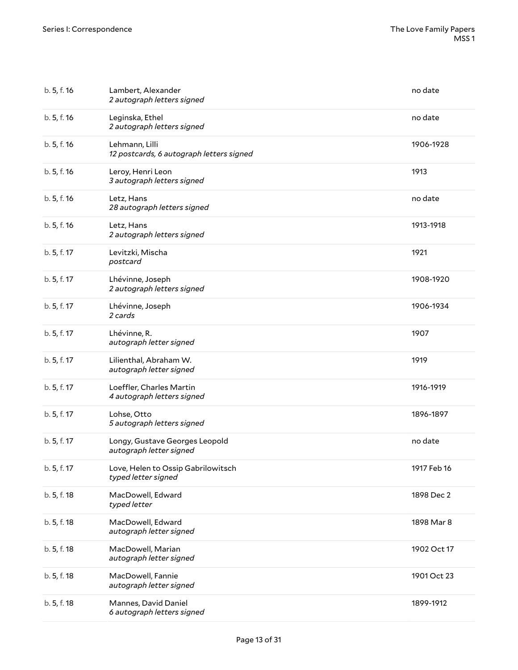| b. 5, f. 16 | Lambert, Alexander<br>2 autograph letters signed           | no date     |
|-------------|------------------------------------------------------------|-------------|
| b. 5, f. 16 | Leginska, Ethel<br>2 autograph letters signed              | no date     |
| b. 5, f. 16 | Lehmann, Lilli<br>12 postcards, 6 autograph letters signed | 1906-1928   |
| b. 5, f. 16 | Leroy, Henri Leon<br>3 autograph letters signed            | 1913        |
| b. 5, f. 16 | Letz, Hans<br>28 autograph letters signed                  | no date     |
| b. 5, f. 16 | Letz, Hans<br>2 autograph letters signed                   | 1913-1918   |
| b. 5, f. 17 | Levitzki, Mischa<br>postcard                               | 1921        |
| b. 5, f. 17 | Lhévinne, Joseph<br>2 autograph letters signed             | 1908-1920   |
| b. 5, f. 17 | Lhévinne, Joseph<br>2 cards                                | 1906-1934   |
| b. 5, f. 17 | Lhévinne, R.<br>autograph letter signed                    | 1907        |
| b. 5, f. 17 | Lilienthal, Abraham W.<br>autograph letter signed          | 1919        |
| b. 5, f. 17 | Loeffler, Charles Martin<br>4 autograph letters signed     | 1916-1919   |
| b. 5, f. 17 | Lohse, Otto<br>5 autograph letters signed                  | 1896-1897   |
| b. 5, f. 17 | Longy, Gustave Georges Leopold<br>autograph letter signed  | no date     |
| b. 5, f. 17 | Love, Helen to Ossip Gabrilowitsch<br>typed letter signed  | 1917 Feb 16 |
| b. 5, f. 18 | MacDowell, Edward<br>typed letter                          | 1898 Dec 2  |
| b. 5, f. 18 | MacDowell, Edward<br>autograph letter signed               | 1898 Mar 8  |
| b. 5, f. 18 | MacDowell, Marian<br>autograph letter signed               | 1902 Oct 17 |
| b. 5, f. 18 | MacDowell, Fannie<br>autograph letter signed               | 1901 Oct 23 |
| b. 5, f. 18 | Mannes, David Daniel<br>6 autograph letters signed         | 1899-1912   |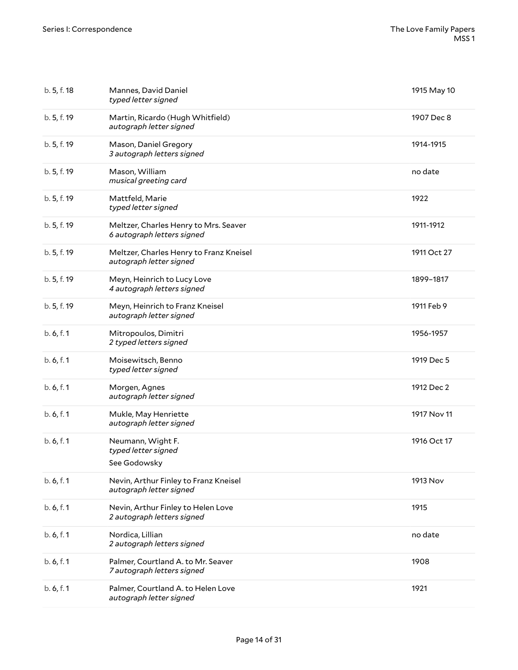| b. 5, f. 18 | Mannes, David Daniel<br>typed letter signed                         | 1915 May 10 |
|-------------|---------------------------------------------------------------------|-------------|
| b. 5, f. 19 | Martin, Ricardo (Hugh Whitfield)<br>autograph letter signed         | 1907 Dec 8  |
| b. 5, f. 19 | Mason, Daniel Gregory<br>3 autograph letters signed                 | 1914-1915   |
| b. 5, f. 19 | Mason, William<br>musical greeting card                             | no date     |
| b. 5, f. 19 | Mattfeld, Marie<br>typed letter signed                              | 1922        |
| b. 5, f. 19 | Meltzer, Charles Henry to Mrs. Seaver<br>6 autograph letters signed | 1911-1912   |
| b. 5, f. 19 | Meltzer, Charles Henry to Franz Kneisel<br>autograph letter signed  | 1911 Oct 27 |
| b. 5, f. 19 | Meyn, Heinrich to Lucy Love<br>4 autograph letters signed           | 1899-1817   |
| b. 5, f. 19 | Meyn, Heinrich to Franz Kneisel<br>autograph letter signed          | 1911 Feb 9  |
| b.6, f.1    | Mitropoulos, Dimitri<br>2 typed letters signed                      | 1956-1957   |
| b. 6, f. 1  | Moisewitsch, Benno<br>typed letter signed                           | 1919 Dec 5  |
| b.6, f.1    | Morgen, Agnes<br>autograph letter signed                            | 1912 Dec 2  |
| b.6, f.1    | Mukle, May Henriette<br>autograph letter signed                     | 1917 Nov 11 |
| b. 6, f. 1  | Neumann, Wight F.<br>typed letter signed<br>See Godowsky            | 1916 Oct 17 |
| b.6, f.1    | Nevin, Arthur Finley to Franz Kneisel<br>autograph letter signed    | 1913 Nov    |
| b. 6, f. 1  | Nevin, Arthur Finley to Helen Love<br>2 autograph letters signed    | 1915        |
| b. 6, f. 1  | Nordica, Lillian<br>2 autograph letters signed                      | no date     |
| b. 6, f. 1  | Palmer, Courtland A. to Mr. Seaver<br>7 autograph letters signed    | 1908        |
| b. 6, f. 1  | Palmer, Courtland A. to Helen Love<br>autograph letter signed       | 1921        |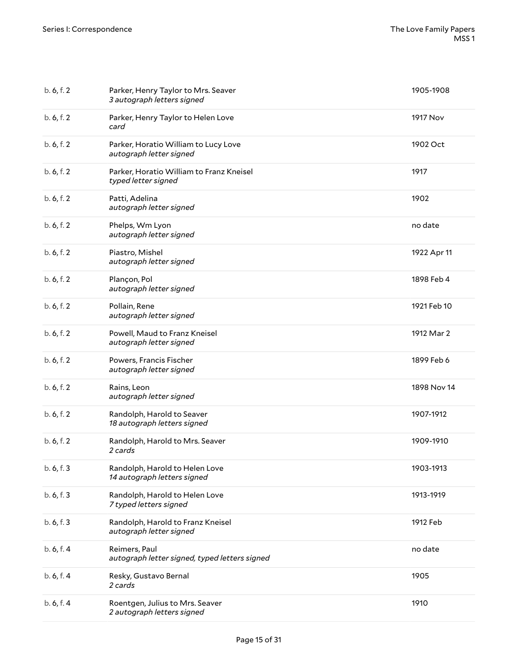| b. 6, f. 2 | Parker, Henry Taylor to Mrs. Seaver<br>3 autograph letters signed | 1905-1908   |
|------------|-------------------------------------------------------------------|-------------|
| b. 6, f. 2 | Parker, Henry Taylor to Helen Love<br>card                        | 1917 Nov    |
| b. 6, f. 2 | Parker, Horatio William to Lucy Love<br>autograph letter signed   | 1902 Oct    |
| b. 6, f. 2 | Parker, Horatio William to Franz Kneisel<br>typed letter signed   | 1917        |
| b. 6, f. 2 | Patti, Adelina<br>autograph letter signed                         | 1902        |
| b. 6, f. 2 | Phelps, Wm Lyon<br>autograph letter signed                        | no date     |
| b. 6, f. 2 | Piastro, Mishel<br>autograph letter signed                        | 1922 Apr 11 |
| b. 6, f. 2 | Plançon, Pol<br>autograph letter signed                           | 1898 Feb 4  |
| b. 6, f. 2 | Pollain, Rene<br>autograph letter signed                          | 1921 Feb 10 |
| b. 6, f. 2 | Powell, Maud to Franz Kneisel<br>autograph letter signed          | 1912 Mar 2  |
| b. 6, f. 2 | Powers, Francis Fischer<br>autograph letter signed                | 1899 Feb 6  |
| b. 6, f. 2 | Rains, Leon<br>autograph letter signed                            | 1898 Nov 14 |
| b. 6, f. 2 | Randolph, Harold to Seaver<br>18 autograph letters signed         | 1907-1912   |
| b. 6, f. 2 | Randolph, Harold to Mrs. Seaver<br>2 cards                        | 1909-1910   |
| b. 6, f. 3 | Randolph, Harold to Helen Love<br>14 autograph letters signed     | 1903-1913   |
| b. 6, f. 3 | Randolph, Harold to Helen Love<br>7 typed letters signed          | 1913-1919   |
| b. 6, f. 3 | Randolph, Harold to Franz Kneisel<br>autograph letter signed      | 1912 Feb    |
| b. 6, f. 4 | Reimers, Paul<br>autograph letter signed, typed letters signed    | no date     |
| b. 6, f. 4 | Resky, Gustavo Bernal<br>2 cards                                  | 1905        |
| b. 6, f. 4 | Roentgen, Julius to Mrs. Seaver<br>2 autograph letters signed     | 1910        |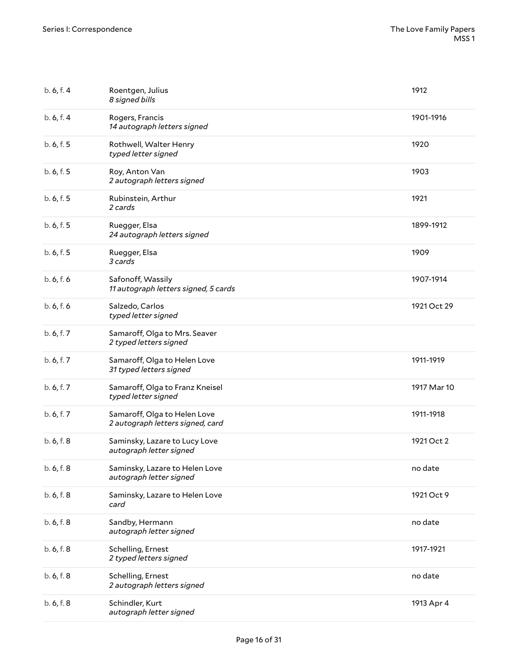| b. 6, f. 4 | Roentgen, Julius<br>8 signed bills                               | 1912        |
|------------|------------------------------------------------------------------|-------------|
| b. 6, f. 4 | Rogers, Francis<br>14 autograph letters signed                   | 1901-1916   |
| b. 6, f. 5 | Rothwell, Walter Henry<br>typed letter signed                    | 1920        |
| b. 6, f. 5 | Roy, Anton Van<br>2 autograph letters signed                     | 1903        |
| b. 6, f. 5 | Rubinstein, Arthur<br>2 cards                                    | 1921        |
| b. 6, f. 5 | Ruegger, Elsa<br>24 autograph letters signed                     | 1899-1912   |
| b. 6, f. 5 | Ruegger, Elsa<br>3 cards                                         | 1909        |
| b. 6, f. 6 | Safonoff, Wassily<br>11 autograph letters signed, 5 cards        | 1907-1914   |
| b. 6, f. 6 | Salzedo, Carlos<br>typed letter signed                           | 1921 Oct 29 |
| b. 6, f. 7 | Samaroff, Olga to Mrs. Seaver<br>2 typed letters signed          |             |
| b. 6, f. 7 | Samaroff, Olga to Helen Love<br>31 typed letters signed          | 1911-1919   |
| b. 6, f. 7 | Samaroff, Olga to Franz Kneisel<br>typed letter signed           | 1917 Mar 10 |
| b. 6, f. 7 | Samaroff, Olga to Helen Love<br>2 autograph letters signed, card | 1911-1918   |
| b. 6, f. 8 | Saminsky, Lazare to Lucy Love<br>autograph letter signed         | 1921 Oct 2  |
| b. 6, f. 8 | Saminsky, Lazare to Helen Love<br>autograph letter signed        | no date     |
| b. 6, f. 8 | Saminsky, Lazare to Helen Love<br>card                           | 1921 Oct 9  |
| b. 6, f. 8 | Sandby, Hermann<br>autograph letter signed                       | no date     |
| b. 6, f. 8 | Schelling, Ernest<br>2 typed letters signed                      | 1917-1921   |
| b. 6, f. 8 | Schelling, Ernest<br>2 autograph letters signed                  | no date     |
| b. 6, f. 8 | Schindler, Kurt<br>autograph letter signed                       | 1913 Apr 4  |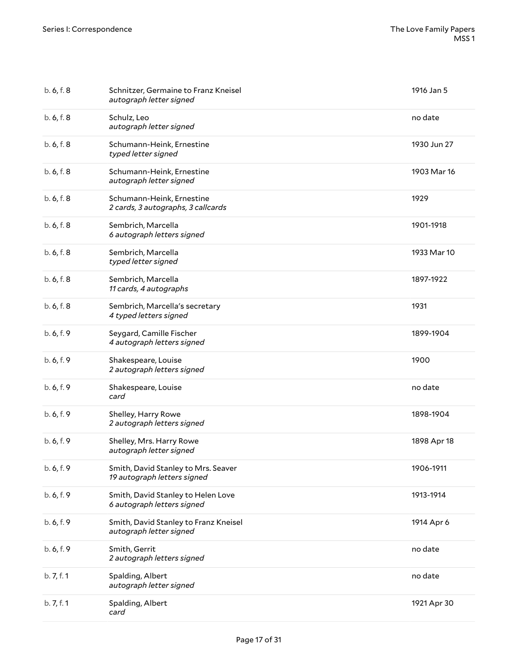| b. 6, f. 8 | Schnitzer, Germaine to Franz Kneisel<br>autograph letter signed    | 1916 Jan 5  |
|------------|--------------------------------------------------------------------|-------------|
| b. 6, f. 8 | Schulz, Leo<br>autograph letter signed                             | no date     |
| b. 6, f. 8 | Schumann-Heink, Ernestine<br>typed letter signed                   | 1930 Jun 27 |
| b. 6, f. 8 | Schumann-Heink, Ernestine<br>autograph letter signed               | 1903 Mar 16 |
| b. 6, f. 8 | Schumann-Heink, Ernestine<br>2 cards, 3 autographs, 3 callcards    | 1929        |
| b. 6, f. 8 | Sembrich, Marcella<br>6 autograph letters signed                   | 1901-1918   |
| b. 6, f. 8 | Sembrich, Marcella<br>typed letter signed                          | 1933 Mar 10 |
| b. 6, f. 8 | Sembrich, Marcella<br>11 cards, 4 autographs                       | 1897-1922   |
| b. 6, f. 8 | Sembrich, Marcella's secretary<br>4 typed letters signed           | 1931        |
| b. 6, f. 9 | Seygard, Camille Fischer<br>4 autograph letters signed             | 1899-1904   |
| b. 6, f. 9 | Shakespeare, Louise<br>2 autograph letters signed                  | 1900        |
| b. 6, f. 9 | Shakespeare, Louise<br>card                                        | no date     |
| b. 6, f. 9 | Shelley, Harry Rowe<br>2 autograph letters signed                  | 1898-1904   |
| b. 6, f. 9 | Shelley, Mrs. Harry Rowe<br>autograph letter signed                | 1898 Apr 18 |
| b. 6, f. 9 | Smith, David Stanley to Mrs. Seaver<br>19 autograph letters signed | 1906-1911   |
| b. 6, f. 9 | Smith, David Stanley to Helen Love<br>6 autograph letters signed   | 1913-1914   |
| b. 6, f. 9 | Smith, David Stanley to Franz Kneisel<br>autograph letter signed   | 1914 Apr 6  |
| b. 6, f. 9 | Smith, Gerrit<br>2 autograph letters signed                        | no date     |
| b. 7, f. 1 | Spalding, Albert<br>autograph letter signed                        | no date     |
| b. 7, f. 1 | Spalding, Albert<br>card                                           | 1921 Apr 30 |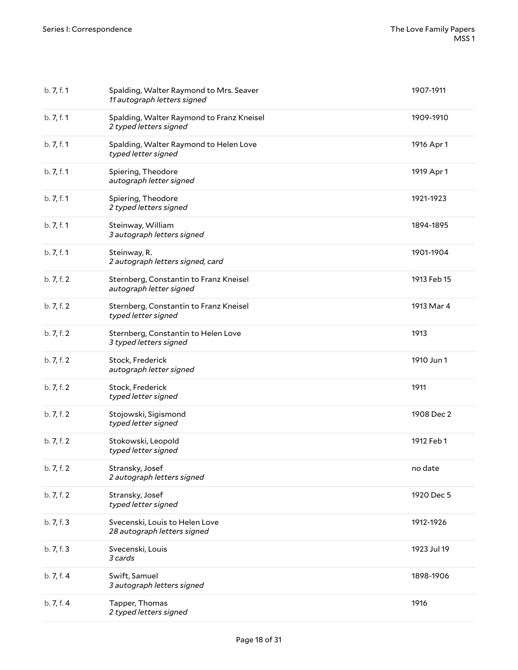| b. 7, f. 1 | Spalding, Walter Raymond to Mrs. Seaver<br>11 autograph letters signed | 1907-1911   |
|------------|------------------------------------------------------------------------|-------------|
| b.7, f.1   | Spalding, Walter Raymond to Franz Kneisel<br>2 typed letters signed    | 1909-1910   |
| b. 7, f. 1 | Spalding, Walter Raymond to Helen Love<br>typed letter signed          | 1916 Apr 1  |
| b. 7, f. 1 | Spiering, Theodore<br>autograph letter signed                          | 1919 Apr 1  |
| b.7, f.1   | Spiering, Theodore<br>2 typed letters signed                           | 1921-1923   |
| b. 7, f. 1 | Steinway, William<br>3 autograph letters signed                        | 1894-1895   |
| b. 7, f. 1 | Steinway, R.<br>2 autograph letters signed, card                       | 1901-1904   |
| b. 7, f. 2 | Sternberg, Constantin to Franz Kneisel<br>autograph letter signed      | 1913 Feb 15 |
| b. 7, f. 2 | Sternberg, Constantin to Franz Kneisel<br>typed letter signed          | 1913 Mar 4  |
| b. 7, f. 2 | Sternberg, Constantin to Helen Love<br>3 typed letters signed          | 1913        |
| b. 7, f. 2 | Stock, Frederick<br>autograph letter signed                            | 1910 Jun 1  |
| b. 7, f. 2 | Stock, Frederick<br>typed letter signed                                | 1911        |
| b. 7, f. 2 | Stojowski, Sigismond<br>typed letter signed                            | 1908 Dec 2  |
| b. 7, f. 2 | Stokowski, Leopold<br>typed letter signed                              | 1912 Feb 1  |
| b. 7, f. 2 | Stransky, Josef<br>2 autograph letters signed                          | no date     |
| b. 7, f. 2 | Stransky, Josef<br>typed letter signed                                 | 1920 Dec 5  |
| b. 7, f. 3 | Svecenski, Louis to Helen Love<br>28 autograph letters signed          | 1912-1926   |
| b. 7, f. 3 | Svecenski, Louis<br>3 cards                                            | 1923 Jul 19 |
| b. 7, f. 4 | Swift, Samuel<br>3 autograph letters signed                            | 1898-1906   |
| b. 7, f. 4 | Tapper, Thomas<br>2 typed letters signed                               | 1916        |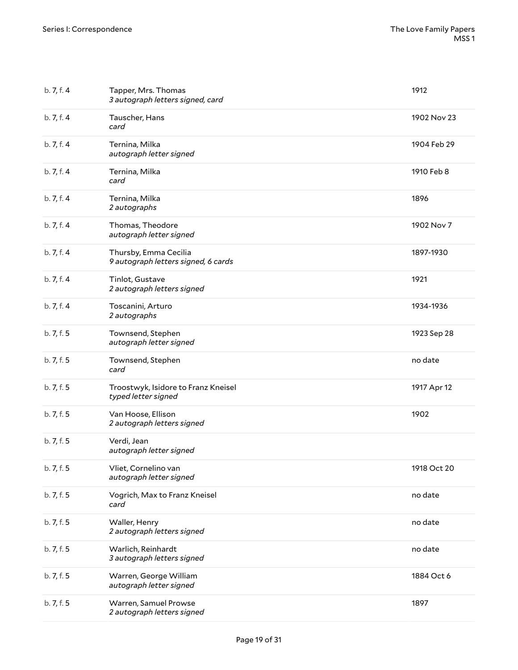| b. 7, f. 4 | Tapper, Mrs. Thomas<br>3 autograph letters signed, card      | 1912        |
|------------|--------------------------------------------------------------|-------------|
| b. 7, f. 4 | Tauscher, Hans<br>card                                       | 1902 Nov 23 |
| b. 7, f. 4 | Ternina, Milka<br>autograph letter signed                    | 1904 Feb 29 |
| b. 7, f. 4 | Ternina, Milka<br>card                                       | 1910 Feb 8  |
| b. 7, f. 4 | Ternina, Milka<br>2 autographs                               | 1896        |
| b. 7, f. 4 | Thomas, Theodore<br>autograph letter signed                  | 1902 Nov 7  |
| b. 7, f. 4 | Thursby, Emma Cecilia<br>9 autograph letters signed, 6 cards | 1897-1930   |
| b. 7, f. 4 | Tinlot, Gustave<br>2 autograph letters signed                | 1921        |
| b. 7, f. 4 | Toscanini, Arturo<br>2 autographs                            | 1934-1936   |
| b. 7, f. 5 | Townsend, Stephen<br>autograph letter signed                 | 1923 Sep 28 |
| b. 7, f. 5 | Townsend, Stephen<br>card                                    | no date     |
| b. 7, f. 5 | Troostwyk, Isidore to Franz Kneisel<br>typed letter signed   | 1917 Apr 12 |
| b. 7, f. 5 | Van Hoose, Ellison<br>2 autograph letters signed             | 1902        |
| b. 7, f. 5 | Verdi, Jean<br>autograph letter signed                       |             |
| b. 7, f. 5 | Vliet, Cornelino van<br>autograph letter signed              | 1918 Oct 20 |
| b. 7, f. 5 | Vogrich, Max to Franz Kneisel<br>card                        | no date     |
| b. 7, f. 5 | Waller, Henry<br>2 autograph letters signed                  | no date     |
| b. 7, f. 5 | Warlich, Reinhardt<br>3 autograph letters signed             | no date     |
| b. 7, f. 5 | Warren, George William<br>autograph letter signed            | 1884 Oct 6  |
| b. 7, f. 5 | Warren, Samuel Prowse<br>2 autograph letters signed          | 1897        |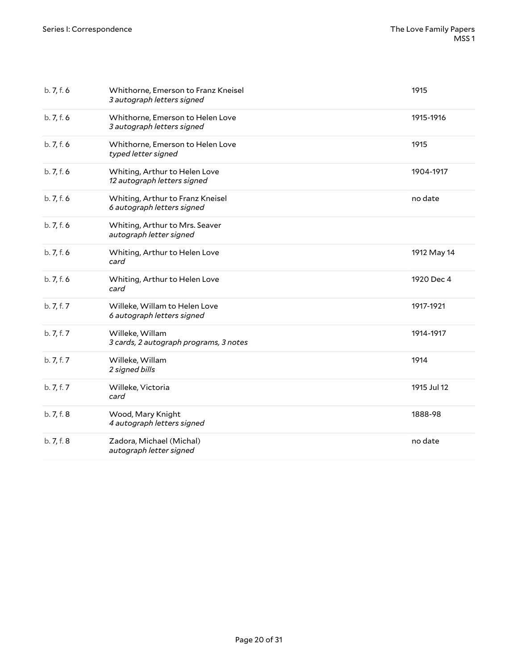| b.7, f.6   | Whithorne, Emerson to Franz Kneisel<br>3 autograph letters signed | 1915        |
|------------|-------------------------------------------------------------------|-------------|
| b.7, f.6   | Whithorne, Emerson to Helen Love<br>3 autograph letters signed    | 1915-1916   |
| b.7, f.6   | Whithorne, Emerson to Helen Love<br>typed letter signed           | 1915        |
| b.7, f.6   | Whiting, Arthur to Helen Love<br>12 autograph letters signed      | 1904-1917   |
| b.7, f.6   | Whiting, Arthur to Franz Kneisel<br>6 autograph letters signed    | no date     |
| b.7, f.6   | Whiting, Arthur to Mrs. Seaver<br>autograph letter signed         |             |
| b.7, f.6   | Whiting, Arthur to Helen Love<br>card                             | 1912 May 14 |
| b.7, f.6   | Whiting, Arthur to Helen Love<br>card                             | 1920 Dec 4  |
| b. 7, f. 7 | Willeke, Willam to Helen Love<br>6 autograph letters signed       | 1917-1921   |
| b. 7, f. 7 | Willeke, Willam<br>3 cards, 2 autograph programs, 3 notes         | 1914-1917   |
| b. 7, f. 7 | Willeke, Willam<br>2 signed bills                                 | 1914        |
| b. 7, f. 7 | Willeke, Victoria<br>card                                         | 1915 Jul 12 |
| b. 7, f. 8 | Wood, Mary Knight<br>4 autograph letters signed                   | 1888-98     |
| b. 7, f. 8 | Zadora, Michael (Michal)<br>autograph letter signed               | no date     |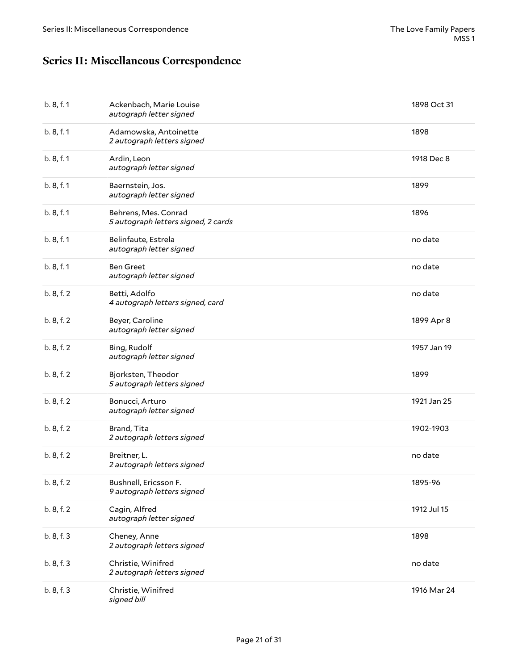## <span id="page-20-0"></span>**Series II: Miscellaneous Correspondence**

| b. 8, f. 1 | Ackenbach, Marie Louise<br>autograph letter signed          | 1898 Oct 31 |
|------------|-------------------------------------------------------------|-------------|
| b. 8, f. 1 | Adamowska, Antoinette<br>2 autograph letters signed         | 1898        |
| b. 8, f. 1 | Ardin, Leon<br>autograph letter signed                      | 1918 Dec 8  |
| b. 8, f. 1 | Baernstein, Jos.<br>autograph letter signed                 | 1899        |
| b. 8, f. 1 | Behrens, Mes. Conrad<br>5 autograph letters signed, 2 cards | 1896        |
| b. 8, f. 1 | Belinfaute, Estrela<br>autograph letter signed              | no date     |
| b. 8, f. 1 | <b>Ben Greet</b><br>autograph letter signed                 | no date     |
| b. 8, f. 2 | Betti, Adolfo<br>4 autograph letters signed, card           | no date     |
| b. 8, f. 2 | Beyer, Caroline<br>autograph letter signed                  | 1899 Apr 8  |
| b. 8, f. 2 | Bing, Rudolf<br>autograph letter signed                     | 1957 Jan 19 |
| b. 8, f. 2 | Bjorksten, Theodor<br>5 autograph letters signed            | 1899        |
| b. 8, f. 2 | Bonucci, Arturo<br>autograph letter signed                  | 1921 Jan 25 |
| b. 8, f. 2 | Brand, Tita<br>2 autograph letters signed                   | 1902-1903   |
| b. 8, f. 2 | Breitner, L.<br>2 autograph letters signed                  | no date     |
| b. 8, f. 2 | Bushnell, Ericsson F.<br>9 autograph letters signed         | 1895-96     |
| b. 8, f. 2 | Cagin, Alfred<br>autograph letter signed                    | 1912 Jul 15 |
| b. 8, f. 3 | Cheney, Anne<br>2 autograph letters signed                  | 1898        |
| b. 8, f. 3 | Christie, Winifred<br>2 autograph letters signed            | no date     |
| b. 8, f. 3 | Christie, Winifred<br>signed bill                           | 1916 Mar 24 |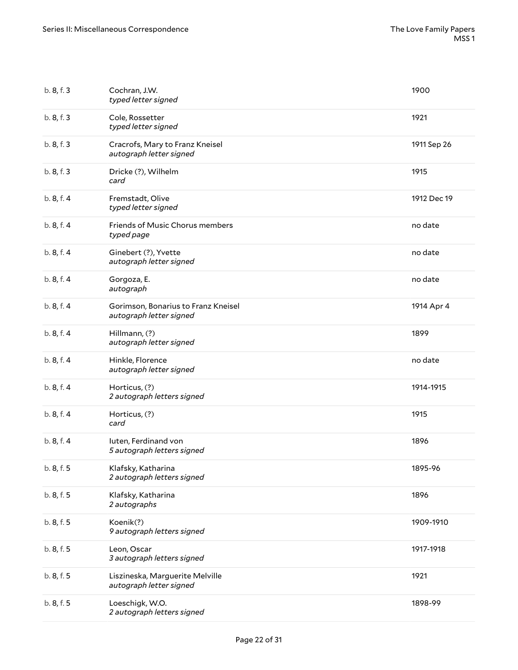| b. 8, f. 3 | Cochran, J.W.<br>typed letter signed                           | 1900        |
|------------|----------------------------------------------------------------|-------------|
| b. 8, f. 3 | Cole, Rossetter<br>typed letter signed                         | 1921        |
| b. 8, f. 3 | Cracrofs, Mary to Franz Kneisel<br>autograph letter signed     | 1911 Sep 26 |
| b. 8, f. 3 | Dricke (?), Wilhelm<br>card                                    | 1915        |
| b.8, f.4   | Fremstadt, Olive<br>typed letter signed                        | 1912 Dec 19 |
| b.8, f.4   | Friends of Music Chorus members<br>typed page                  | no date     |
| b.8, f.4   | Ginebert (?), Yvette<br>autograph letter signed                | no date     |
| b.8, f.4   | Gorgoza, E.<br>autograph                                       | no date     |
| b.8, f.4   | Gorimson, Bonarius to Franz Kneisel<br>autograph letter signed | 1914 Apr 4  |
| b.8, f.4   | Hillmann, (?)<br>autograph letter signed                       | 1899        |
| b.8, f.4   | Hinkle, Florence<br>autograph letter signed                    | no date     |
| b.8, f.4   | Horticus, (?)<br>2 autograph letters signed                    | 1914-1915   |
| b.8, f.4   | Horticus, (?)<br>card                                          | 1915        |
| b. 8, f. 4 | luten, Ferdinand von<br>5 autograph letters signed             | 1896        |
| b. 8, f. 5 | Klafsky, Katharina<br>2 autograph letters signed               | 1895-96     |
| b. 8, f. 5 | Klafsky, Katharina<br>2 autographs                             | 1896        |
| b. 8, f. 5 | Koenik(?)<br>9 autograph letters signed                        | 1909-1910   |
| b. 8, f. 5 | Leon, Oscar<br>3 autograph letters signed                      | 1917-1918   |
| b. 8, f. 5 | Liszineska, Marguerite Melville<br>autograph letter signed     | 1921        |
| b. 8, f. 5 | Loeschigk, W.O.<br>2 autograph letters signed                  | 1898-99     |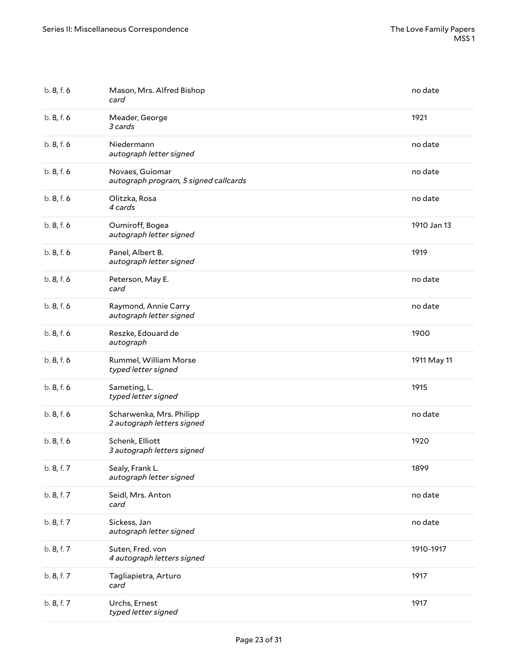| b. 8, f. 6 | Mason, Mrs. Alfred Bishop<br>card                        | no date     |
|------------|----------------------------------------------------------|-------------|
| b.8, f.6   | Meader, George<br>3 cards                                | 1921        |
| b.8, f.6   | Niedermann<br>autograph letter signed                    | no date     |
| b. 8, f. 6 | Novaes, Guiomar<br>autograph program, 5 signed callcards | no date     |
| b.8, f.6   | Olitzka, Rosa<br>4 cards                                 | no date     |
| b.8, f.6   | Oumiroff, Bogea<br>autograph letter signed               | 1910 Jan 13 |
| b.8, f.6   | Panel, Albert B.<br>autograph letter signed              | 1919        |
| b.8, f.6   | Peterson, May E.<br>card                                 | no date     |
| b.8, f.6   | Raymond, Annie Carry<br>autograph letter signed          | no date     |
| b.8, f.6   | Reszke, Edouard de<br>autograph                          | 1900        |
| b.8, f.6   | Rummel, William Morse<br>typed letter signed             | 1911 May 11 |
| b. 8, f. 6 | Sameting, L.<br>typed letter signed                      | 1915        |
| b.8, f.6   | Scharwenka, Mrs. Philipp<br>2 autograph letters signed   | no date     |
| b.8, f.6   | Schenk, Elliott<br>3 autograph letters signed            | 1920        |
| b. 8, f. 7 | Sealy, Frank L.<br>autograph letter signed               | 1899        |
| b. 8, f. 7 | Seidl, Mrs. Anton<br>card                                | no date     |
| b. 8, f. 7 | Sickess, Jan<br>autograph letter signed                  | no date     |
| b. 8, f. 7 | Suten, Fred. von<br>4 autograph letters signed           | 1910-1917   |
| b. 8, f. 7 | Tagliapietra, Arturo<br>card                             | 1917        |
| b. 8, f. 7 | Urchs, Ernest<br>typed letter signed                     | 1917        |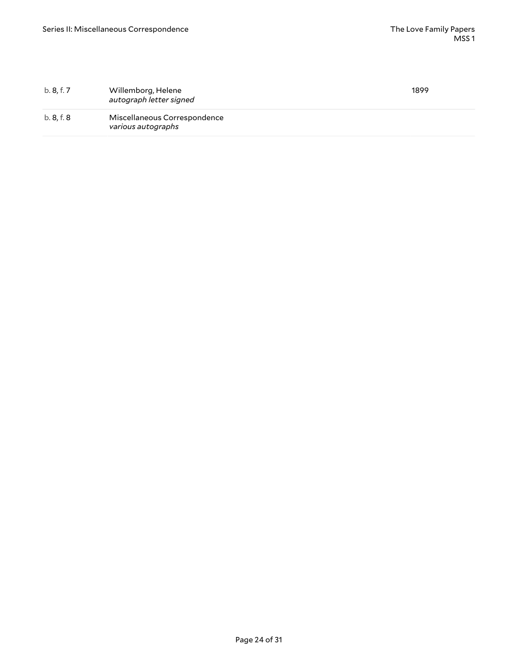| b. 8, f. 7 | Willemborg, Helene<br>autograph letter signed      | 1899 |
|------------|----------------------------------------------------|------|
| b. 8, f. 8 | Miscellaneous Correspondence<br>various autographs |      |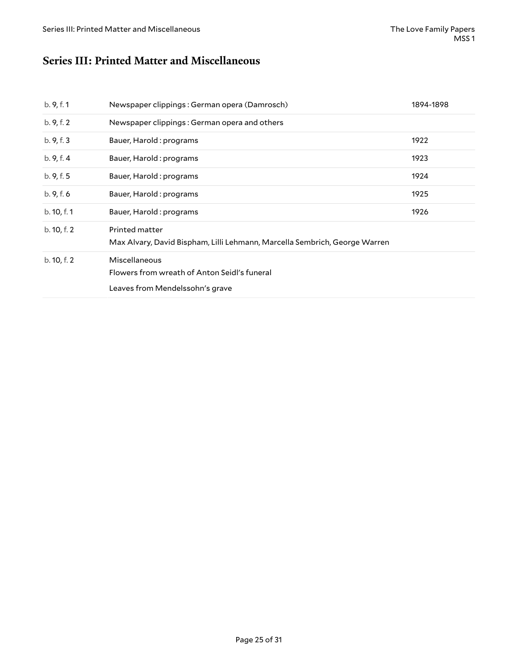#### <span id="page-24-0"></span>**Series III: Printed Matter and Miscellaneous**

| b. 9, f. 1  | Newspaper clippings: German opera (Damrosch)                                                     | 1894-1898 |
|-------------|--------------------------------------------------------------------------------------------------|-----------|
| b. 9, f. 2  | Newspaper clippings: German opera and others                                                     |           |
| b. 9, f. 3  | Bauer, Harold: programs                                                                          | 1922      |
| b.9, f.4    | Bauer, Harold : programs                                                                         | 1923      |
| b. 9, f. 5  | Bauer, Harold : programs                                                                         | 1924      |
| b.9, f.6    | Bauer, Harold: programs                                                                          | 1925      |
| b. 10, f. 1 | Bauer, Harold : programs                                                                         | 1926      |
| b. 10, f. 2 | Printed matter<br>Max Alvary, David Bispham, Lilli Lehmann, Marcella Sembrich, George Warren     |           |
| b. 10, f. 2 | Miscellaneous<br>Flowers from wreath of Anton Seidl's funeral<br>Leaves from Mendelssohn's grave |           |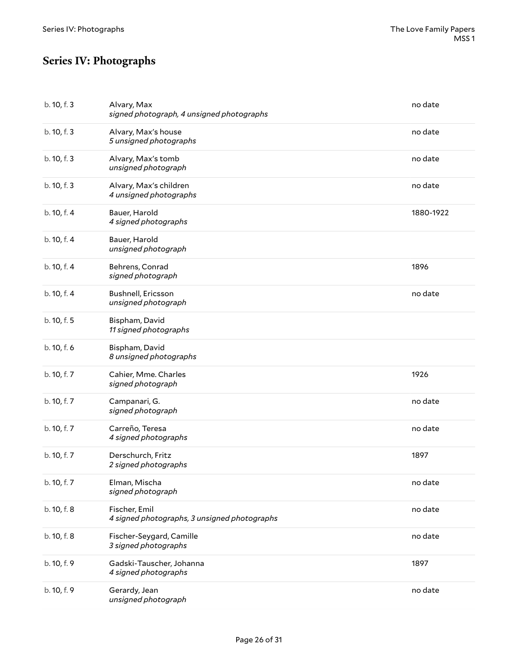## <span id="page-25-0"></span>**Series IV: Photographs**

| b. 10, f. 3 | Alvary, Max<br>signed photograph, 4 unsigned photographs      | no date   |
|-------------|---------------------------------------------------------------|-----------|
| b. 10, f. 3 | Alvary, Max's house<br>5 unsigned photographs                 | no date   |
| b. 10, f. 3 | Alvary, Max's tomb<br>unsigned photograph                     | no date   |
| b. 10, f. 3 | Alvary, Max's children<br>4 unsigned photographs              | no date   |
| b. 10, f. 4 | Bauer, Harold<br>4 signed photographs                         | 1880-1922 |
| b. 10, f. 4 | Bauer, Harold<br>unsigned photograph                          |           |
| b. 10, f. 4 | Behrens, Conrad<br>signed photograph                          | 1896      |
| b. 10, f. 4 | Bushnell, Ericsson<br>unsigned photograph                     | no date   |
| b. 10, f. 5 | Bispham, David<br>11 signed photographs                       |           |
| b. 10, f. 6 | Bispham, David<br>8 unsigned photographs                      |           |
| b. 10, f. 7 | Cahier, Mme. Charles<br>signed photograph                     | 1926      |
| b. 10, f. 7 | Campanari, G.<br>signed photograph                            | no date   |
| b. 10, f. 7 | Carreño, Teresa<br>4 signed photographs                       | no date   |
| b. 10, f. 7 | Derschurch, Fritz<br>2 signed photographs                     | 1897      |
| b. 10, f. 7 | Elman, Mischa<br>signed photograph                            | no date   |
| b. 10, f. 8 | Fischer, Emil<br>4 signed photographs, 3 unsigned photographs | no date   |
| b. 10, f. 8 | Fischer-Seygard, Camille<br>3 signed photographs              | no date   |
| b. 10, f. 9 | Gadski-Tauscher, Johanna<br>4 signed photographs              | 1897      |
| b. 10, f. 9 | Gerardy, Jean<br>unsigned photograph                          | no date   |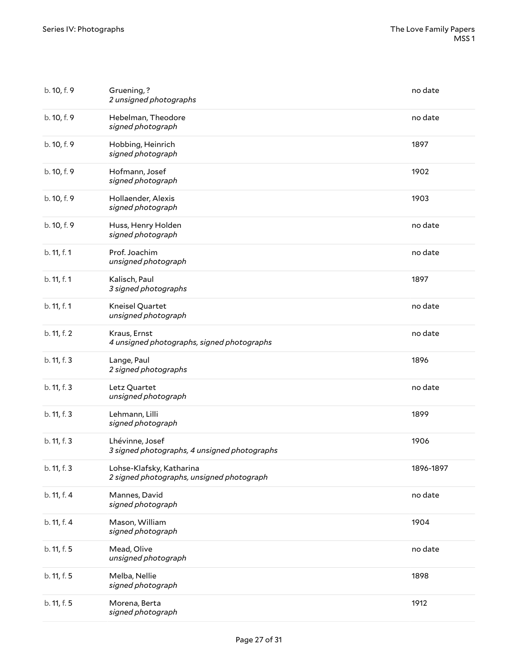| b. 10, f. 9 | Gruening,?<br>2 unsigned photographs                                  | no date   |
|-------------|-----------------------------------------------------------------------|-----------|
| b. 10, f. 9 | Hebelman, Theodore<br>signed photograph                               | no date   |
| b. 10, f. 9 | Hobbing, Heinrich<br>signed photograph                                | 1897      |
| b. 10, f. 9 | Hofmann, Josef<br>signed photograph                                   | 1902      |
| b. 10, f. 9 | Hollaender, Alexis<br>signed photograph                               | 1903      |
| b. 10, f. 9 | Huss, Henry Holden<br>signed photograph                               | no date   |
| b. 11, f. 1 | Prof. Joachim<br>unsigned photograph                                  | no date   |
| b. 11, f. 1 | Kalisch, Paul<br>3 signed photographs                                 | 1897      |
| b. 11, f. 1 | Kneisel Quartet<br>unsigned photograph                                | no date   |
| b. 11, f. 2 | Kraus, Ernst<br>4 unsigned photographs, signed photographs            | no date   |
| b. 11, f. 3 | Lange, Paul<br>2 signed photographs                                   | 1896      |
| b. 11, f. 3 | Letz Quartet<br>unsigned photograph                                   | no date   |
| b. 11, f. 3 | Lehmann, Lilli<br>signed photograph                                   | 1899      |
| b. 11, f. 3 | Lhévinne, Josef<br>3 signed photographs, 4 unsigned photographs       | 1906      |
| b. 11, f. 3 | Lohse-Klafsky, Katharina<br>2 signed photographs, unsigned photograph | 1896-1897 |
| b. 11, f. 4 | Mannes, David<br>signed photograph                                    | no date   |
| b. 11, f. 4 | Mason, William<br>signed photograph                                   | 1904      |
| b. 11, f. 5 | Mead, Olive<br>unsigned photograph                                    | no date   |
| b. 11, f. 5 | Melba, Nellie<br>signed photograph                                    | 1898      |
| b. 11, f. 5 | Morena, Berta<br>signed photograph                                    | 1912      |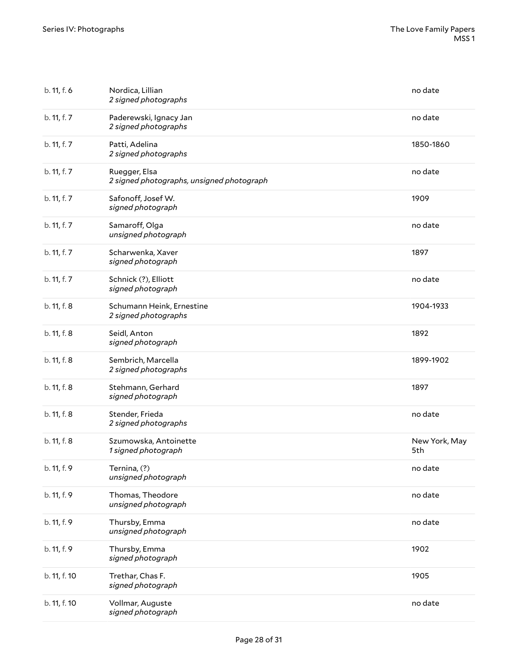| b. 11, f. 6  | Nordica, Lillian<br>2 signed photographs                   | no date              |
|--------------|------------------------------------------------------------|----------------------|
| b. 11, f. 7  | Paderewski, Ignacy Jan<br>2 signed photographs             | no date              |
| b. 11, f. 7  | Patti, Adelina<br>2 signed photographs                     | 1850-1860            |
| b. 11, f. 7  | Ruegger, Elsa<br>2 signed photographs, unsigned photograph | no date              |
| b. 11, f. 7  | Safonoff, Josef W.<br>signed photograph                    | 1909                 |
| b. 11, f. 7  | Samaroff, Olga<br>unsigned photograph                      | no date              |
| b. 11, f. 7  | Scharwenka, Xaver<br>signed photograph                     | 1897                 |
| b. 11, f. 7  | Schnick (?), Elliott<br>signed photograph                  | no date              |
| b. 11, f. 8  | Schumann Heink, Ernestine<br>2 signed photographs          | 1904-1933            |
| b. 11, f. 8  | Seidl, Anton<br>signed photograph                          | 1892                 |
| b. 11, f. 8  | Sembrich, Marcella<br>2 signed photographs                 | 1899-1902            |
| b. 11, f. 8  | Stehmann, Gerhard<br>signed photograph                     | 1897                 |
| b. 11, f. 8  | Stender, Frieda<br>2 signed photographs                    | no date              |
| b. 11, f. 8  | Szumowska, Antoinette<br>1 signed photograph               | New York, May<br>5th |
| b. 11, f. 9  | Ternina, (?)<br>unsigned photograph                        | no date              |
| b. 11, f. 9  | Thomas, Theodore<br>unsigned photograph                    | no date              |
| b. 11, f. 9  | Thursby, Emma<br>unsigned photograph                       | no date              |
| b. 11, f. 9  | Thursby, Emma<br>signed photograph                         | 1902                 |
| b. 11, f. 10 | Trethar, Chas F.<br>signed photograph                      | 1905                 |
| b. 11, f. 10 | Vollmar, Auguste<br>signed photograph                      | no date              |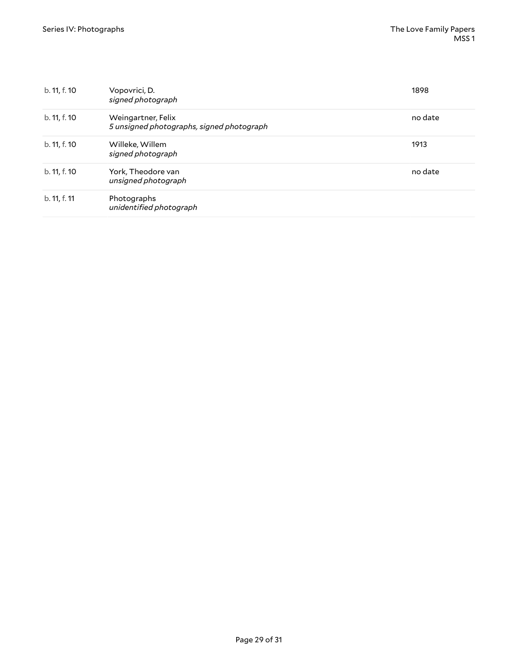| b. 11, f. 10 | Vopovrici, D.<br>signed photograph                              | 1898    |
|--------------|-----------------------------------------------------------------|---------|
| b. 11, f. 10 | Weingartner, Felix<br>5 unsigned photographs, signed photograph | no date |
| b. 11, f. 10 | Willeke, Willem<br>signed photograph                            | 1913    |
| b. 11, f. 10 | York, Theodore van<br>unsigned photograph                       | no date |
| b. 11, f. 11 | Photographs<br>unidentified photograph                          |         |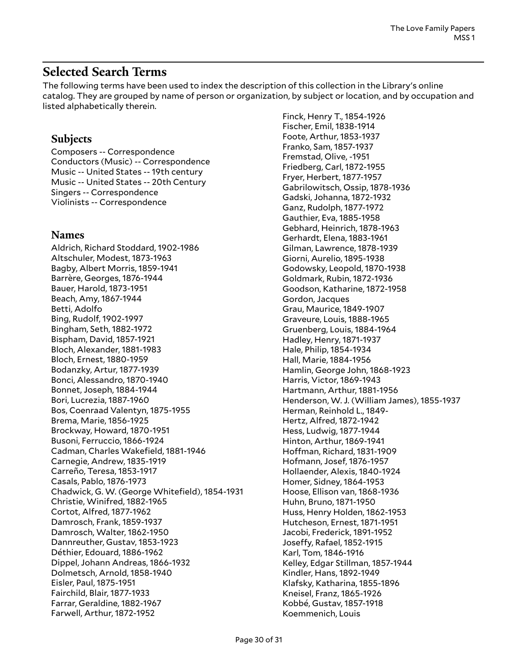#### <span id="page-29-0"></span>**Selected Search Terms**

The following terms have been used to index the description of this collection in the Library's online catalog. They are grouped by name of person or organization, by subject or location, and by occupation and listed alphabetically therein.

#### **Subjects**

Composers -- Correspondence Conductors (Music) -- Correspondence Music -- United States -- 19th century Music -- United States -- 20th Century Singers -- Correspondence Violinists -- Correspondence

#### **Names**

Aldrich, Richard Stoddard, 1902-1986 Altschuler, Modest, 1873-1963 Bagby, Albert Morris, 1859-1941 Barrère, Georges, 1876-1944 Bauer, Harold, 1873-1951 Beach, Amy, 1867-1944 Betti, Adolfo Bing, Rudolf, 1902-1997 Bingham, Seth, 1882-1972 Bispham, David, 1857-1921 Bloch, Alexander, 1881-1983 Bloch, Ernest, 1880-1959 Bodanzky, Artur, 1877-1939 Bonci, Alessandro, 1870-1940 Bonnet, Joseph, 1884-1944 Bori, Lucrezia, 1887-1960 Bos, Coenraad Valentyn, 1875-1955 Brema, Marie, 1856-1925 Brockway, Howard, 1870-1951 Busoni, Ferruccio, 1866-1924 Cadman, Charles Wakefield, 1881-1946 Carnegie, Andrew, 1835-1919 Carreño, Teresa, 1853-1917 Casals, Pablo, 1876-1973 Chadwick, G. W. (George Whitefield), 1854-1931 Christie, Winifred, 1882-1965 Cortot, Alfred, 1877-1962 Damrosch, Frank, 1859-1937 Damrosch, Walter, 1862-1950 Dannreuther, Gustav, 1853-1923 Déthier, Edouard, 1886-1962 Dippel, Johann Andreas, 1866-1932 Dolmetsch, Arnold, 1858-1940 Eisler, Paul, 1875-1951 Fairchild, Blair, 1877-1933 Farrar, Geraldine, 1882-1967 Farwell, Arthur, 1872-1952

Finck, Henry T., 1854-1926 Fischer, Emil, 1838-1914 Foote, Arthur, 1853-1937 Franko, Sam, 1857-1937 Fremstad, Olive, -1951 Friedberg, Carl, 1872-1955 Fryer, Herbert, 1877-1957 Gabrilowitsch, Ossip, 1878-1936 Gadski, Johanna, 1872-1932 Ganz, Rudolph, 1877-1972 Gauthier, Eva, 1885-1958 Gebhard, Heinrich, 1878-1963 Gerhardt, Elena, 1883-1961 Gilman, Lawrence, 1878-1939 Giorni, Aurelio, 1895-1938 Godowsky, Leopold, 1870-1938 Goldmark, Rubin, 1872-1936 Goodson, Katharine, 1872-1958 Gordon, Jacques Grau, Maurice, 1849-1907 Graveure, Louis, 1888-1965 Gruenberg, Louis, 1884-1964 Hadley, Henry, 1871-1937 Hale, Philip, 1854-1934 Hall, Marie, 1884-1956 Hamlin, George John, 1868-1923 Harris, Victor, 1869-1943 Hartmann, Arthur, 1881-1956 Henderson, W. J. (William James), 1855-1937 Herman, Reinhold L., 1849- Hertz, Alfred, 1872-1942 Hess, Ludwig, 1877-1944 Hinton, Arthur, 1869-1941 Hoffman, Richard, 1831-1909 Hofmann, Josef, 1876-1957 Hollaender, Alexis, 1840-1924 Homer, Sidney, 1864-1953 Hoose, Ellison van, 1868-1936 Huhn, Bruno, 1871-1950 Huss, Henry Holden, 1862-1953 Hutcheson, Ernest, 1871-1951 Jacobi, Frederick, 1891-1952 Joseffy, Rafael, 1852-1915 Karl, Tom, 1846-1916 Kelley, Edgar Stillman, 1857-1944 Kindler, Hans, 1892-1949 Klafsky, Katharina, 1855-1896 Kneisel, Franz, 1865-1926 Kobbé, Gustav, 1857-1918 Koemmenich, Louis